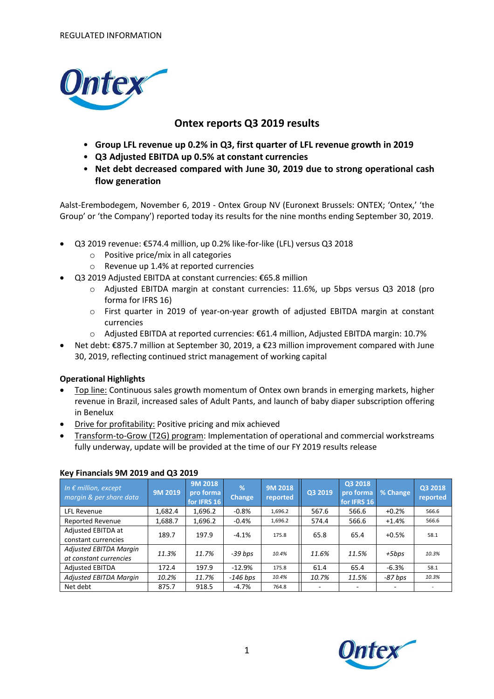

# **Ontex reports Q3 2019 results**

- **Group LFL revenue up 0.2% in Q3, first quarter of LFL revenue growth in 2019**
- **Q3 Adjusted EBITDA up 0.5% at constant currencies**
- **Net debt decreased compared with June 30, 2019 due to strong operational cash flow generation**

Aalst-Erembodegem, November 6, 2019 - Ontex Group NV (Euronext Brussels: ONTEX; 'Ontex,' 'the Group' or 'the Company') reported today its results for the nine months ending September 30, 2019.

- Q3 2019 revenue: €574.4 million, up 0.2% like-for-like (LFL) versus Q3 2018
	- o Positive price/mix in all categories
	- o Revenue up 1.4% at reported currencies
- Q3 2019 Adjusted EBITDA at constant currencies: €65.8 million
	- o Adjusted EBITDA margin at constant currencies: 11.6%, up 5bps versus Q3 2018 (pro forma for IFRS 16)
	- o First quarter in 2019 of year-on-year growth of adjusted EBITDA margin at constant currencies
	- o Adjusted EBITDA at reported currencies: €61.4 million, Adjusted EBITDA margin: 10.7%
- Net debt: €875.7 million at September 30, 2019, a €23 million improvement compared with June 30, 2019, reflecting continued strict management of working capital

### **Operational Highlights**

- Top line: Continuous sales growth momentum of Ontex own brands in emerging markets, higher revenue in Brazil, increased sales of Adult Pants, and launch of baby diaper subscription offering in Benelux
- Drive for profitability: Positive pricing and mix achieved
- Transform-to-Grow (T2G) program: Implementation of operational and commercial workstreams fully underway, update will be provided at the time of our FY 2019 results release

| In $\epsilon$ million, except<br>margin & per share data | 9M 2019 | 9M 2018<br>pro forma<br>for IFRS 16 | %<br><b>Change</b> | 9M 2018<br>reported | Q3 2019                  | Q3 2018<br>pro forma<br>for IFRS 16 | % Change       | Q3 2018<br>reported |
|----------------------------------------------------------|---------|-------------------------------------|--------------------|---------------------|--------------------------|-------------------------------------|----------------|---------------------|
| <b>LFL Revenue</b>                                       | 1,682.4 | 1,696.2                             | $-0.8%$            | 1,696.2             | 567.6                    | 566.6                               | $+0.2%$        | 566.6               |
| <b>Reported Revenue</b>                                  | 1,688.7 | 1,696.2                             | $-0.4%$            | 1,696.2             | 574.4                    | 566.6                               | $+1.4%$        | 566.6               |
| Adjusted EBITDA at<br>constant currencies                | 189.7   | 197.9                               | $-4.1%$            | 175.8               | 65.8                     | 65.4                                | $+0.5%$        | 58.1                |
| <b>Adjusted EBITDA Margin</b><br>at constant currencies  | 11.3%   | 11.7%                               | -39 bps            | 10.4%               | 11.6%                    | 11.5%                               | +5bps          | 10.3%               |
| <b>Adjusted EBITDA</b>                                   | 172.4   | 197.9                               | $-12.9%$           | 175.8               | 61.4                     | 65.4                                | $-6.3%$        | 58.1                |
| <b>Adjusted EBITDA Margin</b>                            | 10.2%   | 11.7%                               | $-146$ bps         | 10.4%               | 10.7%                    | 11.5%                               | -87 bps        | 10.3%               |
| Net debt                                                 | 875.7   | 918.5                               | $-4.7%$            | 764.8               | $\overline{\phantom{a}}$ |                                     | $\overline{ }$ | $\sim$              |

### **Key Financials 9M 2019 and Q3 2019**

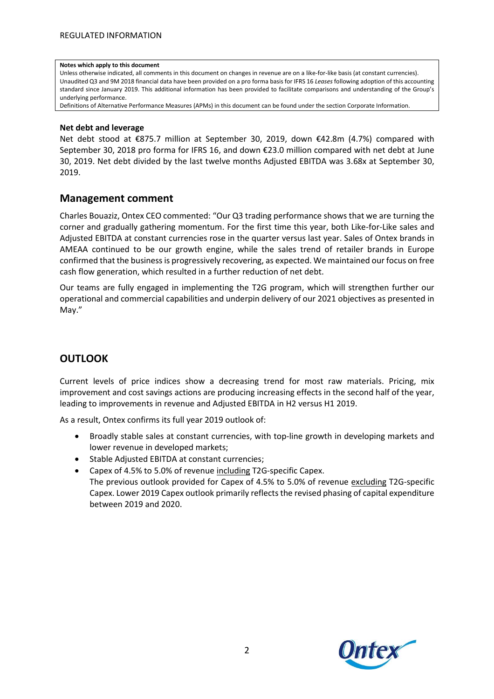#### **Notes which apply to this document**

Unless otherwise indicated, all comments in this document on changes in revenue are on a like-for-like basis (at constant currencies). Unaudited Q3 and 9M 2018 financial data have been provided on a pro forma basis for IFRS 16 *Leases* following adoption of this accounting standard since January 2019. This additional information has been provided to facilitate comparisons and understanding of the Group's underlying performance.

Definitions of Alternative Performance Measures (APMs) in this document can be found under the section Corporate Information.

#### **Net debt and leverage**

Net debt stood at €875.7 million at September 30, 2019, down €42.8m (4.7%) compared with September 30, 2018 pro forma for IFRS 16, and down €23.0 million compared with net debt at June 30, 2019. Net debt divided by the last twelve months Adjusted EBITDA was 3.68x at September 30, 2019.

### **Management comment**

Charles Bouaziz, Ontex CEO commented: "Our Q3 trading performance shows that we are turning the corner and gradually gathering momentum. For the first time this year, both Like-for-Like sales and Adjusted EBITDA at constant currencies rose in the quarter versus last year. Sales of Ontex brands in AMEAA continued to be our growth engine, while the sales trend of retailer brands in Europe confirmed that the business is progressively recovering, as expected. We maintained our focus on free cash flow generation, which resulted in a further reduction of net debt.

Our teams are fully engaged in implementing the T2G program, which will strengthen further our operational and commercial capabilities and underpin delivery of our 2021 objectives as presented in May."

### **OUTLOOK**

Current levels of price indices show a decreasing trend for most raw materials. Pricing, mix improvement and cost savings actions are producing increasing effects in the second half of the year, leading to improvements in revenue and Adjusted EBITDA in H2 versus H1 2019.

As a result, Ontex confirms its full year 2019 outlook of:

- Broadly stable sales at constant currencies, with top-line growth in developing markets and lower revenue in developed markets;
- Stable Adjusted EBITDA at constant currencies;
- Capex of 4.5% to 5.0% of revenue including T2G-specific Capex. The previous outlook provided for Capex of 4.5% to 5.0% of revenue excluding T2G-specific Capex. Lower 2019 Capex outlook primarily reflects the revised phasing of capital expenditure between 2019 and 2020.

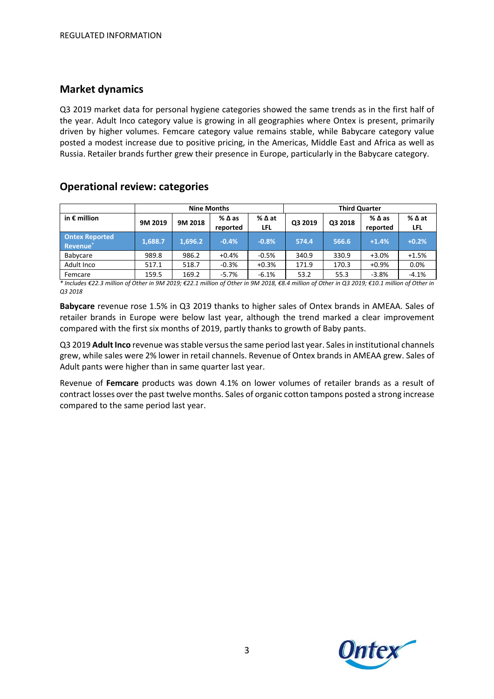### **Market dynamics**

Q3 2019 market data for personal hygiene categories showed the same trends as in the first half of the year. Adult Inco category value is growing in all geographies where Ontex is present, primarily driven by higher volumes. Femcare category value remains stable, while Babycare category value posted a modest increase due to positive pricing, in the Americas, Middle East and Africa as well as Russia. Retailer brands further grew their presence in Europe, particularly in the Babycare category.

### **Operational review: categories**

|                                               | <b>Nine Months</b> |         |                  |             | <b>Third Quarter</b> |         |                  |               |
|-----------------------------------------------|--------------------|---------|------------------|-------------|----------------------|---------|------------------|---------------|
| in $\epsilon$ million                         | 9M 2019            | 9M 2018 | %∆as<br>reported | %∆at<br>LFL | Q3 2019              | Q3 2018 | %∆as<br>reported | % ∆ at<br>LFL |
| <b>Ontex Reported</b><br>Revenue <sup>*</sup> | 1,688.7            | 1,696.2 | $-0.4%$          | $-0.8%$     | 574.4                | 566.6   | $+1.4%$          | $+0.2%$       |
| <b>Babycare</b>                               | 989.8              | 986.2   | $+0.4%$          | $-0.5%$     | 340.9                | 330.9   | $+3.0%$          | $+1.5%$       |
| Adult Inco                                    | 517.1              | 518.7   | $-0.3%$          | $+0.3%$     | 171.9                | 170.3   | $+0.9%$          | 0.0%          |
| Femcare                                       | 159.5              | 169.2   | $-5.7%$          | $-6.1%$     | 53.2                 | 55.3    | $-3.8%$          | $-4.1%$       |

\* Includes €22.3 million of Other in 9M 2019; €22.1 million of Other in 9M 2018, €8.4 million of Other in Q3 2019; €10.1 million of Other in *Q3 2018*

**Babycare** revenue rose 1.5% in Q3 2019 thanks to higher sales of Ontex brands in AMEAA. Sales of retailer brands in Europe were below last year, although the trend marked a clear improvement compared with the first six months of 2019, partly thanks to growth of Baby pants.

Q3 2019 **Adult Inco** revenue was stable versus the same period last year. Sales in institutional channels grew, while sales were 2% lower in retail channels. Revenue of Ontex brands in AMEAA grew. Sales of Adult pants were higher than in same quarter last year.

Revenue of **Femcare** products was down 4.1% on lower volumes of retailer brands as a result of contract losses over the past twelve months. Sales of organic cotton tampons posted a strong increase compared to the same period last year.

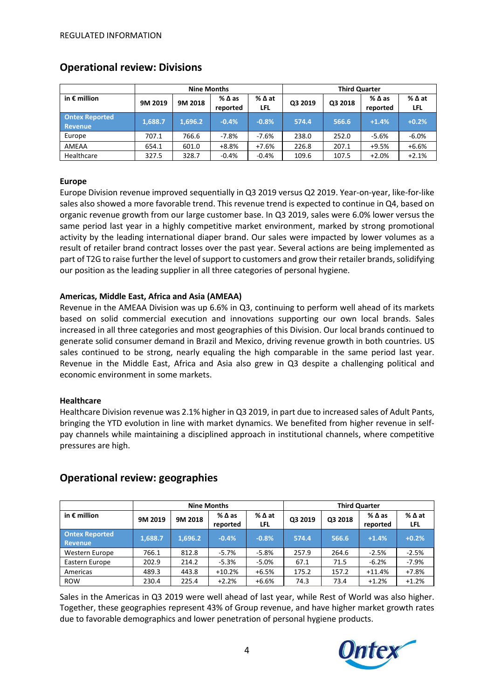|                                  | <b>Nine Months</b> |         |                             |               | <b>Third Quarter</b> |         |                  |                               |
|----------------------------------|--------------------|---------|-----------------------------|---------------|----------------------|---------|------------------|-------------------------------|
| in $\epsilon$ million            | 9M 2019            | 9M 2018 | $%$ $\Delta$ as<br>reported | % ∆ at<br>LFL | Q3 2019              | Q3 2018 | %∆as<br>reported | $%$ $\Delta$ at<br><b>LFL</b> |
| <b>Ontex Reported</b><br>Revenue | 1,688.7            | 1.696.2 | $-0.4%$                     | $-0.8%$       | 574.4                | 566.6   | $+1.4%$          | $+0.2%$                       |
| Europe                           | 707.1              | 766.6   | $-7.8\%$                    | $-7.6%$       | 238.0                | 252.0   | $-5.6%$          | $-6.0%$                       |
| AMEAA                            | 654.1              | 601.0   | $+8.8%$                     | $+7.6%$       | 226.8                | 207.1   | $+9.5%$          | $+6.6%$                       |
| Healthcare                       | 327.5              | 328.7   | $-0.4%$                     | $-0.4%$       | 109.6                | 107.5   | $+2.0%$          | $+2.1%$                       |

### **Operational review: Divisions**

#### **Europe**

Europe Division revenue improved sequentially in Q3 2019 versus Q2 2019. Year-on-year, like-for-like sales also showed a more favorable trend. This revenue trend is expected to continue in Q4, based on organic revenue growth from our large customer base. In Q3 2019, sales were 6.0% lower versus the same period last year in a highly competitive market environment, marked by strong promotional activity by the leading international diaper brand. Our sales were impacted by lower volumes as a result of retailer brand contract losses over the past year. Several actions are being implemented as part of T2G to raise further the level of support to customers and grow their retailer brands, solidifying our position as the leading supplier in all three categories of personal hygiene.

### **Americas, Middle East, Africa and Asia (AMEAA)**

Revenue in the AMEAA Division was up 6.6% in Q3, continuing to perform well ahead of its markets based on solid commercial execution and innovations supporting our own local brands. Sales increased in all three categories and most geographies of this Division. Our local brands continued to generate solid consumer demand in Brazil and Mexico, driving revenue growth in both countries. US sales continued to be strong, nearly equaling the high comparable in the same period last year. Revenue in the Middle East, Africa and Asia also grew in Q3 despite a challenging political and economic environment in some markets.

#### **Healthcare**

Healthcare Division revenue was 2.1% higher in Q3 2019, in part due to increased sales of Adult Pants, bringing the YTD evolution in line with market dynamics. We benefited from higher revenue in selfpay channels while maintaining a disciplined approach in institutional channels, where competitive pressures are high.

| <b>Nine Months</b>               |         |         |                                | <b>Third Quarter</b> |         |         |                  |                        |
|----------------------------------|---------|---------|--------------------------------|----------------------|---------|---------|------------------|------------------------|
| in $\epsilon$ million            | 9M 2019 | 9M 2018 | $%$ $\triangle$ as<br>reported | %∆at<br>LFL          | Q3 2019 | Q3 2018 | %∆as<br>reported | $%$ $\Delta$ at<br>LFL |
| <b>Ontex Reported</b><br>Revenue | 1,688.7 | 1,696.2 | $-0.4%$                        | $-0.8%$              | 574.4   | 566.6   | $+1.4%$          | $+0.2%$                |
| Western Europe                   | 766.1   | 812.8   | $-5.7\%$                       | $-5.8%$              | 257.9   | 264.6   | $-2.5%$          | $-2.5%$                |
| Eastern Europe                   | 202.9   | 214.2   | $-5.3%$                        | $-5.0\%$             | 67.1    | 71.5    | $-6.2%$          | $-7.9%$                |
| Americas                         | 489.3   | 443.8   | $+10.2%$                       | $+6.5%$              | 175.2   | 157.2   | $+11.4%$         | $+7.8%$                |
| <b>ROW</b>                       | 230.4   | 225.4   | $+2.2%$                        | $+6.6%$              | 74.3    | 73.4    | $+1.2%$          | $+1.2%$                |

### **Operational review: geographies**

Sales in the Americas in Q3 2019 were well ahead of last year, while Rest of World was also higher. Together, these geographies represent 43% of Group revenue, and have higher market growth rates due to favorable demographics and lower penetration of personal hygiene products.

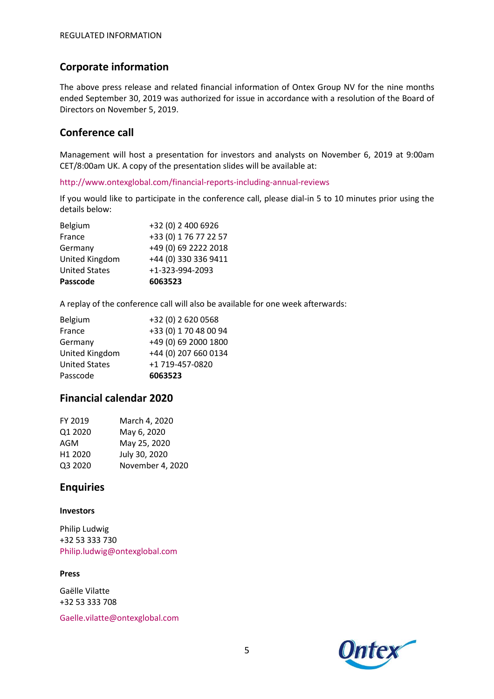# **Corporate information**

The above press release and related financial information of Ontex Group NV for the nine months ended September 30, 2019 was authorized for issue in accordance with a resolution of the Board of Directors on November 5, 2019.

# **Conference call**

Management will host a presentation for investors and analysts on November 6, 2019 at 9:00am CET/8:00am UK. A copy of the presentation slides will be available at:

http://www.ontexglobal.com/financial-reports-including-annual-reviews

If you would like to participate in the conference call, please dial-in 5 to 10 minutes prior using the details below:

| 6063523               |
|-----------------------|
| +1-323-994-2093       |
| +44 (0) 330 336 9411  |
| +49 (0) 69 2222 2018  |
| +33 (0) 1 76 77 22 57 |
| +32 (0) 2 400 6926    |
|                       |

A replay of the conference call will also be available for one week afterwards:

| +32 (0) 2 620 0568    |
|-----------------------|
| +33 (0) 1 70 48 00 94 |
| +49 (0) 69 2000 1800  |
| +44 (0) 207 660 0134  |
| +1 719-457-0820       |
| 6063523               |
|                       |

# **Financial calendar 2020**

| FY 2019             | March 4, 2020    |
|---------------------|------------------|
| Q1 2020             | May 6, 2020      |
| AGM                 | May 25, 2020     |
| H <sub>1</sub> 2020 | July 30, 2020    |
| Q3 2020             | November 4, 2020 |

# **Enquiries**

#### **Investors**

Philip Ludwig +32 53 333 730 Philip.ludwig@ontexglobal.com

#### **Press**

Gaëlle Vilatte +32 53 333 708

Gaelle.vilatte@ontexglobal.com

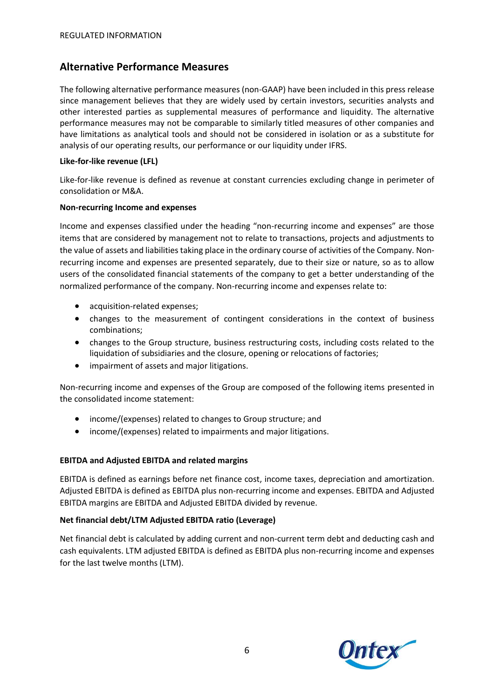# **Alternative Performance Measures**

The following alternative performance measures (non-GAAP) have been included in this press release since management believes that they are widely used by certain investors, securities analysts and other interested parties as supplemental measures of performance and liquidity. The alternative performance measures may not be comparable to similarly titled measures of other companies and have limitations as analytical tools and should not be considered in isolation or as a substitute for analysis of our operating results, our performance or our liquidity under IFRS.

#### **Like-for-like revenue (LFL)**

Like-for-like revenue is defined as revenue at constant currencies excluding change in perimeter of consolidation or M&A.

#### **Non-recurring Income and expenses**

Income and expenses classified under the heading "non-recurring income and expenses" are those items that are considered by management not to relate to transactions, projects and adjustments to the value of assets and liabilities taking place in the ordinary course of activities of the Company. Nonrecurring income and expenses are presented separately, due to their size or nature, so as to allow users of the consolidated financial statements of the company to get a better understanding of the normalized performance of the company. Non-recurring income and expenses relate to:

- acquisition-related expenses;
- changes to the measurement of contingent considerations in the context of business combinations;
- changes to the Group structure, business restructuring costs, including costs related to the liquidation of subsidiaries and the closure, opening or relocations of factories;
- impairment of assets and major litigations.

Non-recurring income and expenses of the Group are composed of the following items presented in the consolidated income statement:

- income/(expenses) related to changes to Group structure; and
- income/(expenses) related to impairments and major litigations.

#### **EBITDA and Adjusted EBITDA and related margins**

EBITDA is defined as earnings before net finance cost, income taxes, depreciation and amortization. Adjusted EBITDA is defined as EBITDA plus non-recurring income and expenses. EBITDA and Adjusted EBITDA margins are EBITDA and Adjusted EBITDA divided by revenue.

### **Net financial debt/LTM Adjusted EBITDA ratio (Leverage)**

Net financial debt is calculated by adding current and non-current term debt and deducting cash and cash equivalents. LTM adjusted EBITDA is defined as EBITDA plus non-recurring income and expenses for the last twelve months (LTM).

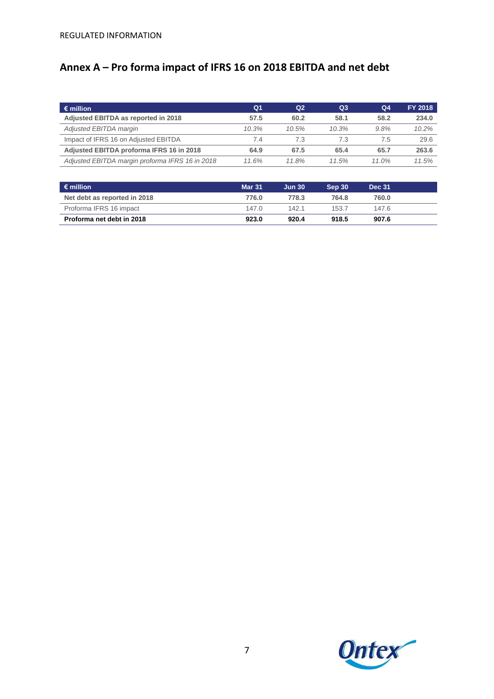# **Annex A – Pro forma impact of IFRS 16 on 2018 EBITDA and net debt**

| $\epsilon$ million                              | Q1    | Q <sub>2</sub> | Q3       | Q <sub>4</sub> | <b>FY 2018</b> |
|-------------------------------------------------|-------|----------------|----------|----------------|----------------|
| Adjusted EBITDA as reported in 2018             | 57.5  | 60.2           | 58.1     | 58.2           | 234.0          |
| Adjusted EBITDA margin                          | 10.3% | $10.5\%$       | $10.3\%$ | 9.8%           | 10.2%          |
| Impact of IFRS 16 on Adjusted EBITDA            | 7.4   | 7.3            | 7.3      | 7.5            | 29.6           |
| Adjusted EBITDA proforma IFRS 16 in 2018        | 64.9  | 67.5           | 65.4     | 65.7           | 263.6          |
| Adjusted EBITDA margin proforma IFRS 16 in 2018 | 11.6% | 11.8%          | 11.5%    | $11.0\%$       | 11.5%          |

| $\epsilon$ million           | <b>Mar 31</b> | <b>Jun 30</b> | Sep 30 | <b>Dec 31</b> |  |
|------------------------------|---------------|---------------|--------|---------------|--|
| Net debt as reported in 2018 | 776.0         | 778.3         | 764.8  | 760.0         |  |
| Proforma IFRS 16 impact      | 147.0         | 142.1         | 153.7  | 147.6         |  |
| Proforma net debt in 2018    | 923.0         | 920.4         | 918.5  | 907.6         |  |